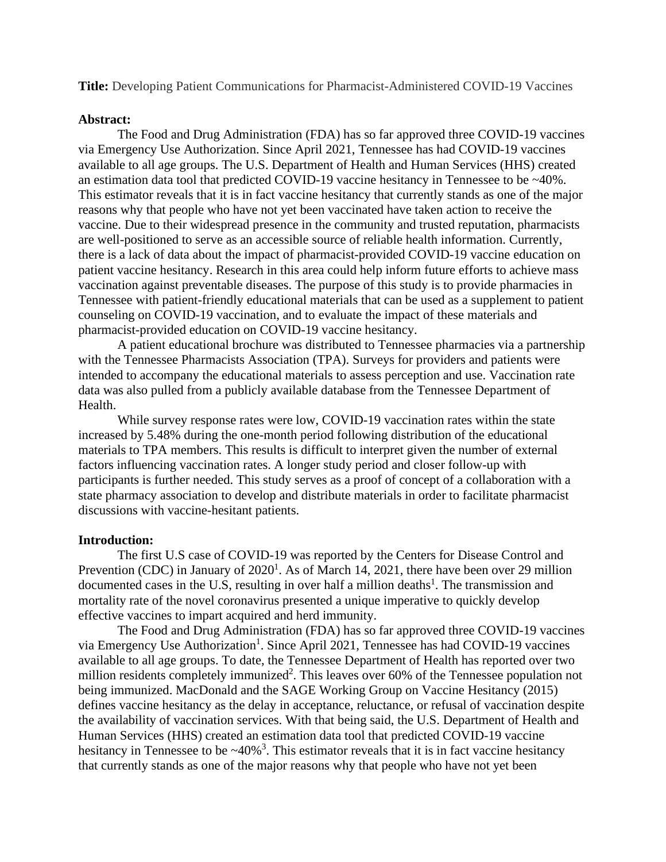**Title:** Developing Patient Communications for Pharmacist-Administered COVID-19 Vaccines

### **Abstract:**

The Food and Drug Administration (FDA) has so far approved three COVID-19 vaccines via Emergency Use Authorization. Since April 2021, Tennessee has had COVID-19 vaccines available to all age groups. The U.S. Department of Health and Human Services (HHS) created an estimation data tool that predicted COVID-19 vaccine hesitancy in Tennessee to be ~40%. This estimator reveals that it is in fact vaccine hesitancy that currently stands as one of the major reasons why that people who have not yet been vaccinated have taken action to receive the vaccine. Due to their widespread presence in the community and trusted reputation, pharmacists are well-positioned to serve as an accessible source of reliable health information. Currently, there is a lack of data about the impact of pharmacist-provided COVID-19 vaccine education on patient vaccine hesitancy. Research in this area could help inform future efforts to achieve mass vaccination against preventable diseases. The purpose of this study is to provide pharmacies in Tennessee with patient-friendly educational materials that can be used as a supplement to patient counseling on COVID-19 vaccination, and to evaluate the impact of these materials and pharmacist-provided education on COVID-19 vaccine hesitancy.

A patient educational brochure was distributed to Tennessee pharmacies via a partnership with the Tennessee Pharmacists Association (TPA). Surveys for providers and patients were intended to accompany the educational materials to assess perception and use. Vaccination rate data was also pulled from a publicly available database from the Tennessee Department of Health.

While survey response rates were low, COVID-19 vaccination rates within the state increased by 5.48% during the one-month period following distribution of the educational materials to TPA members. This results is difficult to interpret given the number of external factors influencing vaccination rates. A longer study period and closer follow-up with participants is further needed. This study serves as a proof of concept of a collaboration with a state pharmacy association to develop and distribute materials in order to facilitate pharmacist discussions with vaccine-hesitant patients.

### **Introduction:**

The first U.S case of COVID-19 was reported by the Centers for Disease Control and Prevention (CDC) in January of  $2020<sup>1</sup>$ . As of March 14, 2021, there have been over 29 million documented cases in the U.S, resulting in over half a million deaths<sup>1</sup>. The transmission and mortality rate of the novel coronavirus presented a unique imperative to quickly develop effective vaccines to impart acquired and herd immunity.

The Food and Drug Administration (FDA) has so far approved three COVID-19 vaccines via Emergency Use Authorization<sup>1</sup>. Since April 2021, Tennessee has had COVID-19 vaccines available to all age groups. To date, the Tennessee Department of Health has reported over two million residents completely immunized<sup>2</sup>. This leaves over 60% of the Tennessee population not being immunized. MacDonald and the SAGE Working Group on Vaccine Hesitancy (2015) defines vaccine hesitancy as the delay in acceptance, reluctance, or refusal of vaccination despite the availability of vaccination services. With that being said, the U.S. Department of Health and Human Services (HHS) created an estimation data tool that predicted COVID-19 vaccine hesitancy in Tennessee to be  $\sim$ 40%<sup>3</sup>. This estimator reveals that it is in fact vaccine hesitancy that currently stands as one of the major reasons why that people who have not yet been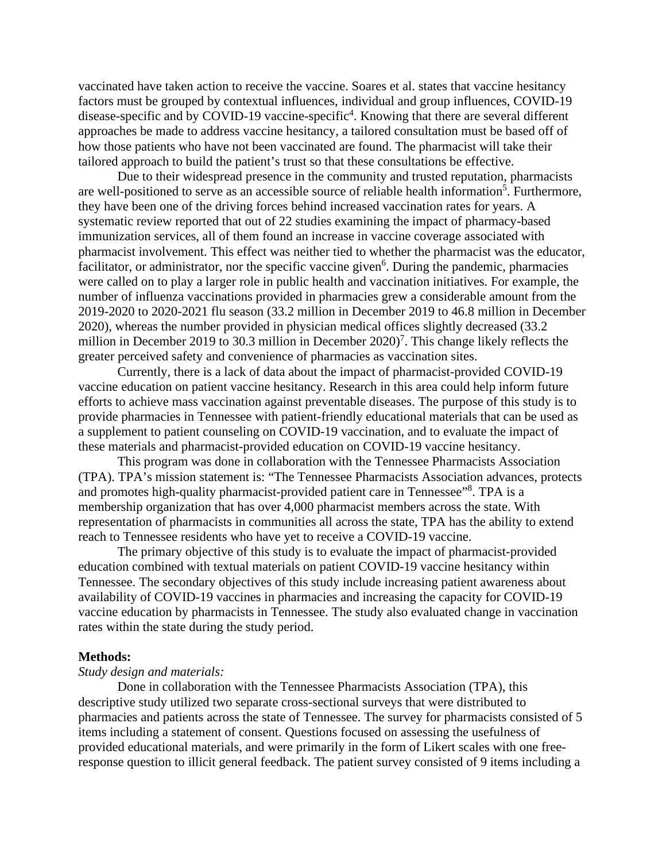vaccinated have taken action to receive the vaccine. Soares et al. states that vaccine hesitancy factors must be grouped by contextual influences, individual and group influences, COVID-19 disease-specific and by COVID-19 vaccine-specific<sup>4</sup>. Knowing that there are several different approaches be made to address vaccine hesitancy, a tailored consultation must be based off of how those patients who have not been vaccinated are found. The pharmacist will take their tailored approach to build the patient's trust so that these consultations be effective.

Due to their widespread presence in the community and trusted reputation, pharmacists are well-positioned to serve as an accessible source of reliable health information<sup>5</sup>. Furthermore, they have been one of the driving forces behind increased vaccination rates for years. A systematic review reported that out of 22 studies examining the impact of pharmacy-based immunization services, all of them found an increase in vaccine coverage associated with pharmacist involvement. This effect was neither tied to whether the pharmacist was the educator, facilitator, or administrator, nor the specific vaccine given<sup>6</sup>. During the pandemic, pharmacies were called on to play a larger role in public health and vaccination initiatives. For example, the number of influenza vaccinations provided in pharmacies grew a considerable amount from the 2019-2020 to 2020-2021 flu season (33.2 million in December 2019 to 46.8 million in December 2020), whereas the number provided in physician medical offices slightly decreased (33.2 million in December 2019 to 30.3 million in December  $2020$ <sup>7</sup>. This change likely reflects the greater perceived safety and convenience of pharmacies as vaccination sites.

Currently, there is a lack of data about the impact of pharmacist-provided COVID-19 vaccine education on patient vaccine hesitancy. Research in this area could help inform future efforts to achieve mass vaccination against preventable diseases. The purpose of this study is to provide pharmacies in Tennessee with patient-friendly educational materials that can be used as a supplement to patient counseling on COVID-19 vaccination, and to evaluate the impact of these materials and pharmacist-provided education on COVID-19 vaccine hesitancy.

This program was done in collaboration with the Tennessee Pharmacists Association (TPA). TPA's mission statement is: "The Tennessee Pharmacists Association advances, protects and promotes high-quality pharmacist-provided patient care in Tennessee"<sup>8</sup>. TPA is a membership organization that has over 4,000 pharmacist members across the state. With representation of pharmacists in communities all across the state, TPA has the ability to extend reach to Tennessee residents who have yet to receive a COVID-19 vaccine.

The primary objective of this study is to evaluate the impact of pharmacist-provided education combined with textual materials on patient COVID-19 vaccine hesitancy within Tennessee. The secondary objectives of this study include increasing patient awareness about availability of COVID-19 vaccines in pharmacies and increasing the capacity for COVID-19 vaccine education by pharmacists in Tennessee. The study also evaluated change in vaccination rates within the state during the study period.

#### **Methods:**

### *Study design and materials:*

Done in collaboration with the Tennessee Pharmacists Association (TPA), this descriptive study utilized two separate cross-sectional surveys that were distributed to pharmacies and patients across the state of Tennessee. The survey for pharmacists consisted of 5 items including a statement of consent. Questions focused on assessing the usefulness of provided educational materials, and were primarily in the form of Likert scales with one freeresponse question to illicit general feedback. The patient survey consisted of 9 items including a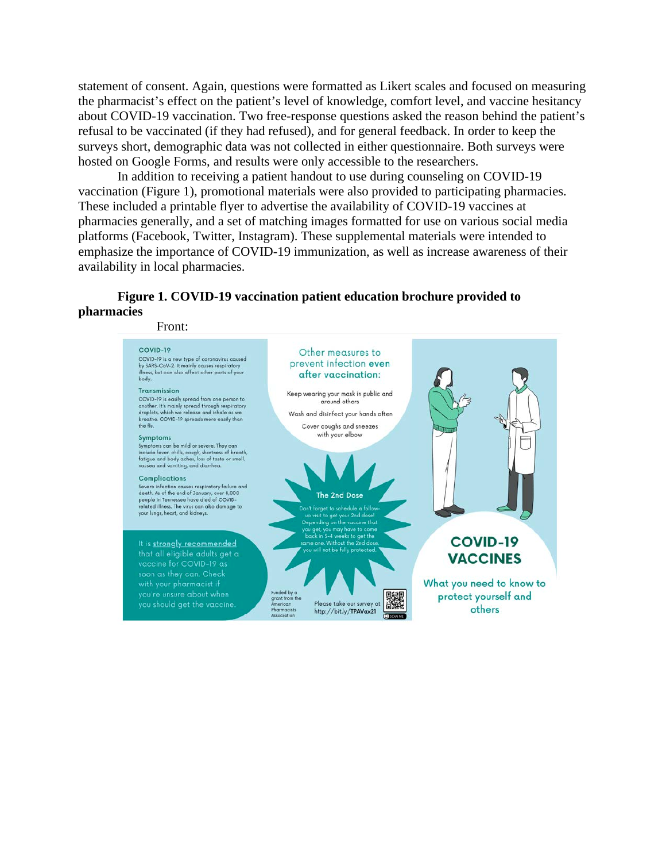statement of consent. Again, questions were formatted as Likert scales and focused on measuring the pharmacist's effect on the patient's level of knowledge, comfort level, and vaccine hesitancy about COVID-19 vaccination. Two free-response questions asked the reason behind the patient's refusal to be vaccinated (if they had refused), and for general feedback. In order to keep the surveys short, demographic data was not collected in either questionnaire. Both surveys were hosted on Google Forms, and results were only accessible to the researchers.

In addition to receiving a patient handout to use during counseling on COVID-19 vaccination (Figure 1), promotional materials were also provided to participating pharmacies. These included a printable flyer to advertise the availability of COVID-19 vaccines at pharmacies generally, and a set of matching images formatted for use on various social media platforms (Facebook, Twitter, Instagram). These supplemental materials were intended to emphasize the importance of COVID-19 immunization, as well as increase awareness of their availability in local pharmacies.

# **Figure 1. COVID-19 vaccination patient education brochure provided to pharmacies**

Front:

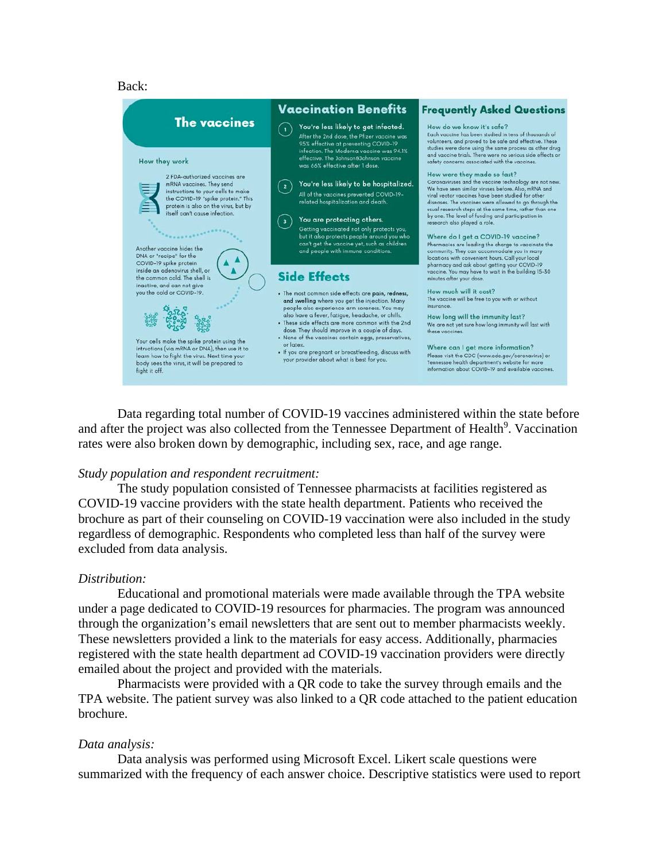#### Back:



Data regarding total number of COVID-19 vaccines administered within the state before and after the project was also collected from the Tennessee Department of Health<sup>9</sup>. Vaccination rates were also broken down by demographic, including sex, race, and age range.

#### *Study population and respondent recruitment:*

The study population consisted of Tennessee pharmacists at facilities registered as COVID-19 vaccine providers with the state health department. Patients who received the brochure as part of their counseling on COVID-19 vaccination were also included in the study regardless of demographic. Respondents who completed less than half of the survey were excluded from data analysis.

#### *Distribution:*

Educational and promotional materials were made available through the TPA website under a page dedicated to COVID-19 resources for pharmacies. The program was announced through the organization's email newsletters that are sent out to member pharmacists weekly. These newsletters provided a link to the materials for easy access. Additionally, pharmacies registered with the state health department ad COVID-19 vaccination providers were directly emailed about the project and provided with the materials.

Pharmacists were provided with a QR code to take the survey through emails and the TPA website. The patient survey was also linked to a QR code attached to the patient education brochure.

#### *Data analysis:*

Data analysis was performed using Microsoft Excel. Likert scale questions were summarized with the frequency of each answer choice. Descriptive statistics were used to report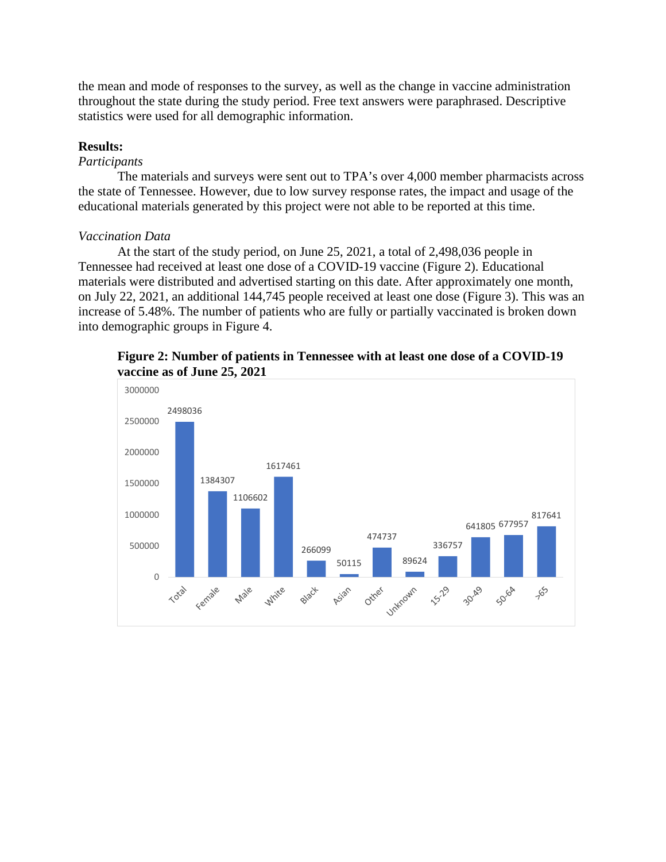the mean and mode of responses to the survey, as well as the change in vaccine administration throughout the state during the study period. Free text answers were paraphrased. Descriptive statistics were used for all demographic information.

## **Results:**

## *Participants*

The materials and surveys were sent out to TPA's over 4,000 member pharmacists across the state of Tennessee. However, due to low survey response rates, the impact and usage of the educational materials generated by this project were not able to be reported at this time.

## *Vaccination Data*

At the start of the study period, on June 25, 2021, a total of 2,498,036 people in Tennessee had received at least one dose of a COVID-19 vaccine (Figure 2). Educational materials were distributed and advertised starting on this date. After approximately one month, on July 22, 2021, an additional 144,745 people received at least one dose (Figure 3). This was an increase of 5.48%. The number of patients who are fully or partially vaccinated is broken down into demographic groups in Figure 4.



**Figure 2: Number of patients in Tennessee with at least one dose of a COVID-19 vaccine as of June 25, 2021**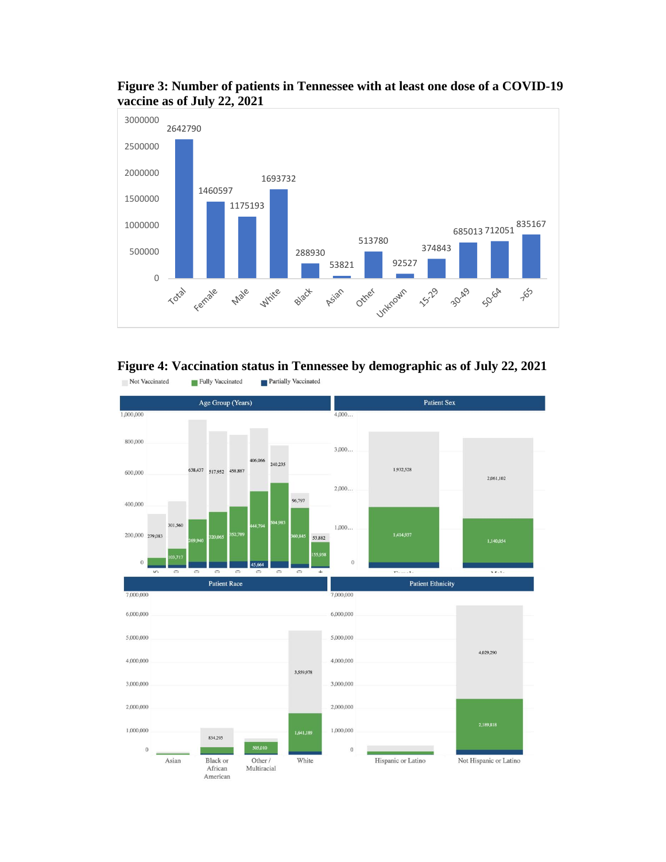

**Figure 3: Number of patients in Tennessee with at least one dose of a COVID-19 vaccine as of July 22, 2021**